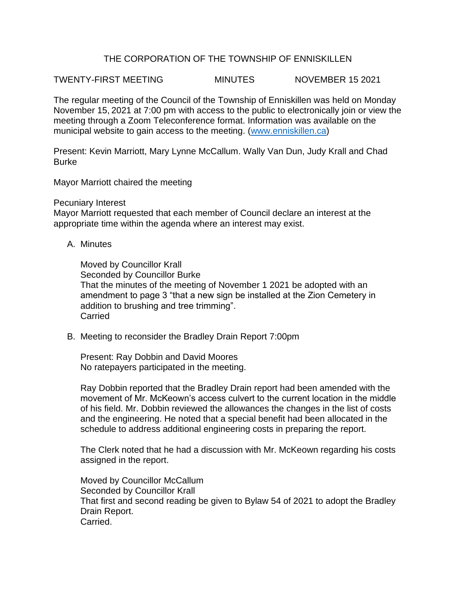## THE CORPORATION OF THE TOWNSHIP OF ENNISKILLEN

TWENTY-FIRST MEETING MINUTES NOVEMBER 15 2021

The regular meeting of the Council of the Township of Enniskillen was held on Monday November 15, 2021 at 7:00 pm with access to the public to electronically join or view the meeting through a Zoom Teleconference format. Information was available on the municipal website to gain access to the meeting. [\(www.enniskillen.ca\)](http://www.enniskillen.ca/)

Present: Kevin Marriott, Mary Lynne McCallum. Wally Van Dun, Judy Krall and Chad Burke

Mayor Marriott chaired the meeting

## Pecuniary Interest

Mayor Marriott requested that each member of Council declare an interest at the appropriate time within the agenda where an interest may exist.

A. Minutes

Moved by Councillor Krall Seconded by Councillor Burke That the minutes of the meeting of November 1 2021 be adopted with an amendment to page 3 "that a new sign be installed at the Zion Cemetery in addition to brushing and tree trimming". **Carried** 

B. Meeting to reconsider the Bradley Drain Report 7:00pm

Present: Ray Dobbin and David Moores No ratepayers participated in the meeting.

Ray Dobbin reported that the Bradley Drain report had been amended with the movement of Mr. McKeown's access culvert to the current location in the middle of his field. Mr. Dobbin reviewed the allowances the changes in the list of costs and the engineering. He noted that a special benefit had been allocated in the schedule to address additional engineering costs in preparing the report.

The Clerk noted that he had a discussion with Mr. McKeown regarding his costs assigned in the report.

Moved by Councillor McCallum Seconded by Councillor Krall That first and second reading be given to Bylaw 54 of 2021 to adopt the Bradley Drain Report. Carried.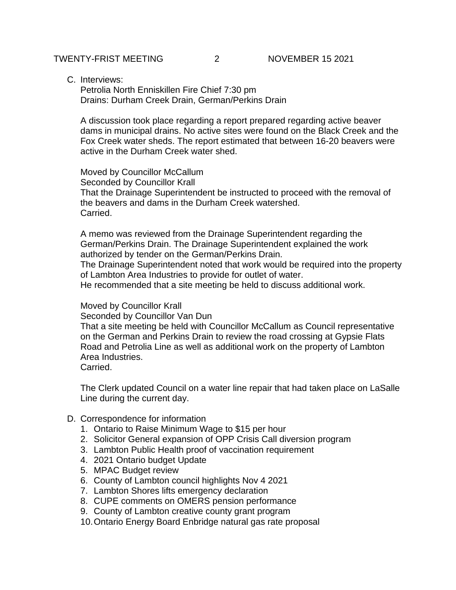C. Interviews:

Petrolia North Enniskillen Fire Chief 7:30 pm Drains: Durham Creek Drain, German/Perkins Drain

A discussion took place regarding a report prepared regarding active beaver dams in municipal drains. No active sites were found on the Black Creek and the Fox Creek water sheds. The report estimated that between 16-20 beavers were active in the Durham Creek water shed.

Moved by Councillor McCallum Seconded by Councillor Krall That the Drainage Superintendent be instructed to proceed with the removal of the beavers and dams in the Durham Creek watershed. Carried.

A memo was reviewed from the Drainage Superintendent regarding the German/Perkins Drain. The Drainage Superintendent explained the work authorized by tender on the German/Perkins Drain.

The Drainage Superintendent noted that work would be required into the property of Lambton Area Industries to provide for outlet of water.

He recommended that a site meeting be held to discuss additional work.

Moved by Councillor Krall

Seconded by Councillor Van Dun

That a site meeting be held with Councillor McCallum as Council representative on the German and Perkins Drain to review the road crossing at Gypsie Flats Road and Petrolia Line as well as additional work on the property of Lambton Area Industries.

Carried.

The Clerk updated Council on a water line repair that had taken place on LaSalle Line during the current day.

- D. Correspondence for information
	- 1. Ontario to Raise Minimum Wage to \$15 per hour
	- 2. Solicitor General expansion of OPP Crisis Call diversion program
	- 3. Lambton Public Health proof of vaccination requirement
	- 4. 2021 Ontario budget Update
	- 5. MPAC Budget review
	- 6. County of Lambton council highlights Nov 4 2021
	- 7. Lambton Shores lifts emergency declaration
	- 8. CUPE comments on OMERS pension performance
	- 9. County of Lambton creative county grant program
	- 10.Ontario Energy Board Enbridge natural gas rate proposal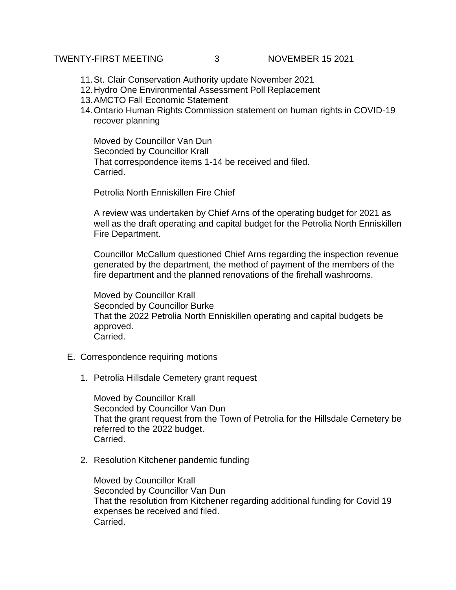## TWENTY-FIRST MEETING 3 NOVEMBER 15 2021

- 11.St. Clair Conservation Authority update November 2021
- 12.Hydro One Environmental Assessment Poll Replacement
- 13.AMCTO Fall Economic Statement
- 14.Ontario Human Rights Commission statement on human rights in COVID-19 recover planning

Moved by Councillor Van Dun Seconded by Councillor Krall That correspondence items 1-14 be received and filed. Carried.

Petrolia North Enniskillen Fire Chief

A review was undertaken by Chief Arns of the operating budget for 2021 as well as the draft operating and capital budget for the Petrolia North Enniskillen Fire Department.

Councillor McCallum questioned Chief Arns regarding the inspection revenue generated by the department, the method of payment of the members of the fire department and the planned renovations of the firehall washrooms.

Moved by Councillor Krall Seconded by Councillor Burke That the 2022 Petrolia North Enniskillen operating and capital budgets be approved. Carried.

- E. Correspondence requiring motions
	- 1. Petrolia Hillsdale Cemetery grant request

Moved by Councillor Krall Seconded by Councillor Van Dun That the grant request from the Town of Petrolia for the Hillsdale Cemetery be referred to the 2022 budget. Carried.

2. Resolution Kitchener pandemic funding

Moved by Councillor Krall Seconded by Councillor Van Dun That the resolution from Kitchener regarding additional funding for Covid 19 expenses be received and filed. Carried.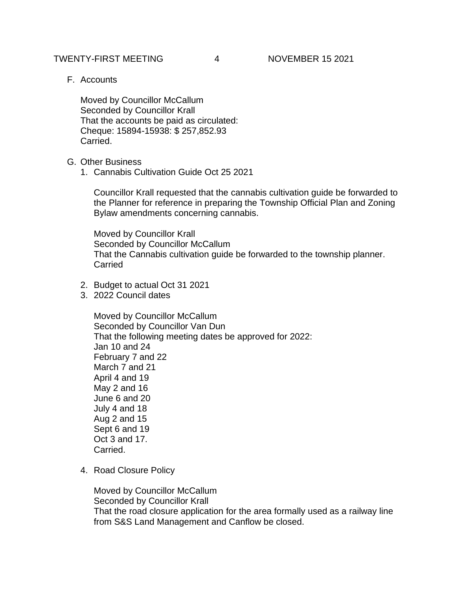TWENTY-FIRST MEETING 4 NOVEMBER 15 2021

F. Accounts

Moved by Councillor McCallum Seconded by Councillor Krall That the accounts be paid as circulated: Cheque: 15894-15938: \$ 257,852.93 Carried.

- G. Other Business
	- 1. Cannabis Cultivation Guide Oct 25 2021

Councillor Krall requested that the cannabis cultivation guide be forwarded to the Planner for reference in preparing the Township Official Plan and Zoning Bylaw amendments concerning cannabis.

Moved by Councillor Krall Seconded by Councillor McCallum That the Cannabis cultivation guide be forwarded to the township planner. **Carried** 

- 2. Budget to actual Oct 31 2021
- 3. 2022 Council dates

Moved by Councillor McCallum Seconded by Councillor Van Dun That the following meeting dates be approved for 2022: Jan 10 and 24 February 7 and 22 March 7 and 21 April 4 and 19 May 2 and 16 June 6 and 20 July 4 and 18 Aug 2 and 15 Sept 6 and 19 Oct 3 and 17. Carried.

4. Road Closure Policy

Moved by Councillor McCallum Seconded by Councillor Krall That the road closure application for the area formally used as a railway line from S&S Land Management and Canflow be closed.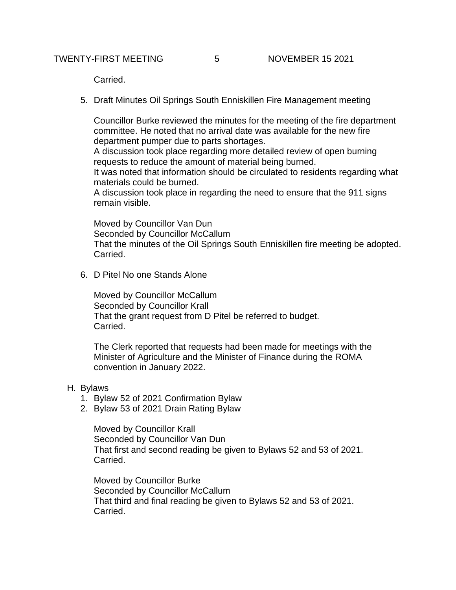Carried.

5. Draft Minutes Oil Springs South Enniskillen Fire Management meeting

Councillor Burke reviewed the minutes for the meeting of the fire department committee. He noted that no arrival date was available for the new fire department pumper due to parts shortages.

A discussion took place regarding more detailed review of open burning requests to reduce the amount of material being burned.

It was noted that information should be circulated to residents regarding what materials could be burned.

A discussion took place in regarding the need to ensure that the 911 signs remain visible.

Moved by Councillor Van Dun Seconded by Councillor McCallum That the minutes of the Oil Springs South Enniskillen fire meeting be adopted. Carried.

6. D Pitel No one Stands Alone

Moved by Councillor McCallum Seconded by Councillor Krall That the grant request from D Pitel be referred to budget. Carried.

The Clerk reported that requests had been made for meetings with the Minister of Agriculture and the Minister of Finance during the ROMA convention in January 2022.

## H. Bylaws

- 1. Bylaw 52 of 2021 Confirmation Bylaw
- 2. Bylaw 53 of 2021 Drain Rating Bylaw

Moved by Councillor Krall Seconded by Councillor Van Dun That first and second reading be given to Bylaws 52 and 53 of 2021. Carried.

Moved by Councillor Burke Seconded by Councillor McCallum That third and final reading be given to Bylaws 52 and 53 of 2021. Carried.